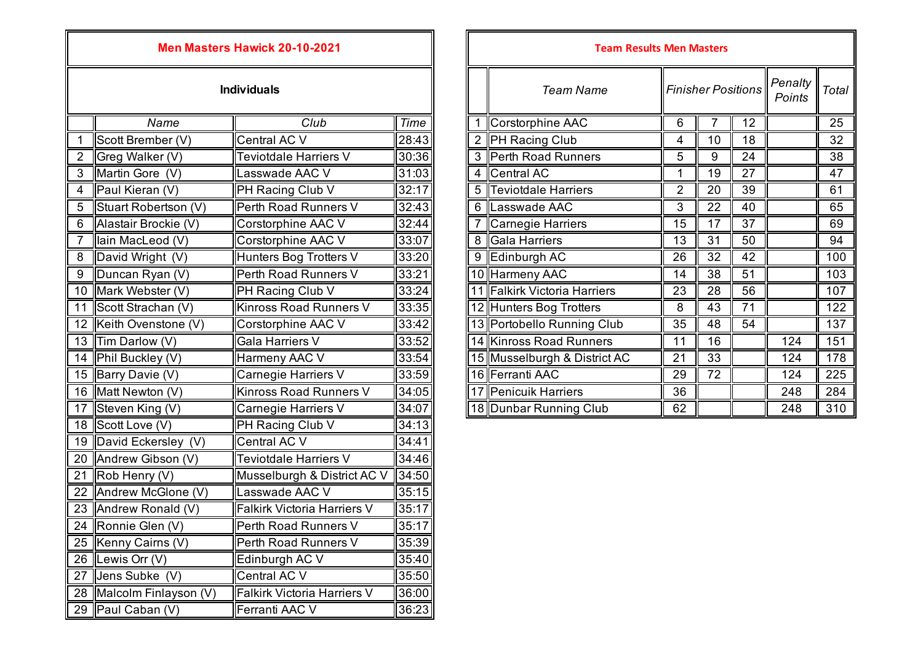## **Men Masters Hawick 20-10-2021**

## **Individuals**

|                | Name                  | Club                               | Time  |
|----------------|-----------------------|------------------------------------|-------|
| 1              | Scott Brember (V)     | Central AC V                       | 28:43 |
| $\overline{2}$ | Greg Walker (V)       | Teviotdale Harriers V              | 30:36 |
| 3              | Martin Gore (V)       | Lasswade AAC V                     | 31:03 |
| 4              | Paul Kieran (V)       | PH Racing Club V                   | 32:17 |
| $\overline{5}$ | Stuart Robertson (V)  | Perth Road Runners V               | 32:43 |
| 6              | Alastair Brockie (V)  | Corstorphine AAC V                 | 32:44 |
| $\overline{7}$ | lain MacLeod (V)      | Corstorphine AAC V                 | 33:07 |
| 8              | David Wright (V)      | Hunters Bog Trotters V             | 33:20 |
| 9              | Duncan Ryan (V)       | Perth Road Runners V               | 33:21 |
| 10             | Mark Webster (V)      | PH Racing Club V                   | 33:24 |
| 11             | Scott Strachan (V)    | Kinross Road Runners V             | 33:35 |
| 12             | Keith Ovenstone (V)   | Corstorphine AAC V                 | 33:42 |
| 13             | Tim Darlow (V)        | Gala Harriers V                    | 33:52 |
| 14             | Phil Buckley (V)      | Harmeny AAC V                      | 33:54 |
| 15             | Barry Davie (V)       | Carnegie Harriers V                | 33:59 |
| 16             | Matt Newton (V)       | <b>Kinross Road Runners V</b>      | 34:05 |
| 17             | Steven King (V)       | Carnegie Harriers V                | 34:07 |
| 18             | Scott Love (V)        | PH Racing Club V                   | 34:13 |
| 19             | David Eckersley (V)   | Central AC V                       | 34:41 |
| 20             | Andrew Gibson (V)     | Teviotdale Harriers V              | 34:46 |
| 21             | Rob Henry (V)         | Musselburgh & District AC V        | 34:50 |
| 22             | Andrew McGlone (V)    | Lasswade AAC V                     | 35:15 |
| 23             | Andrew Ronald (V)     | <b>Falkirk Victoria Harriers V</b> | 35:17 |
| 24             | Ronnie Glen (V)       | Perth Road Runners V               | 35:17 |
| 25             | Kenny Cairns (V)      | Perth Road Runners V               | 35:39 |
| 26             | Lewis Orr (V)         | Edinburgh AC V                     | 35:40 |
| 27             | Jens Subke (V)        | Central AC V                       | 35:50 |
| 28             | Malcolm Finlayson (V) | <b>Falkirk Victoria Harriers V</b> | 36:00 |
| 29             | Paul Caban (V)        | Ferranti AAC V                     | 36:23 |

| <b>Men Masters Hawick 20-10-2021</b> |                        |                        |       |                                               | <b>Team Results Men Masters</b> |                |                   |                 |     |     |
|--------------------------------------|------------------------|------------------------|-------|-----------------------------------------------|---------------------------------|----------------|-------------------|-----------------|-----|-----|
| <b>Individuals</b>                   |                        |                        |       | <b>Finisher Positions</b><br><b>Team Name</b> |                                 |                | Penalty<br>Points | <b>Total</b>    |     |     |
|                                      | Name                   | Club                   | Time  |                                               | Corstorphine AAC                | 6              |                   | 12              |     | 25  |
|                                      | Scott Brember (V)      | Central AC V           | 28:43 |                                               | PH Racing Club                  | 4              | 10                | 18              |     | 32  |
|                                      | Greg Walker (V)        | Teviotdale Harriers V  | 30:36 | 3                                             | Perth Road Runners              | 5              | 9                 | 24              |     | 38  |
| 3                                    | Martin Gore (V)        | asswade AAC V          | 31:03 | 4                                             | Central AC                      | 1              | 19                | 27              |     | 47  |
| $\overline{4}$                       | Paul Kieran (V)        | PH Racing Club V       | 32:17 | 5                                             | <b>Teviotdale Harriers</b>      | $\overline{2}$ | 20                | 39              |     | 61  |
| 5                                    | Stuart Robertson (V)   | Perth Road Runners V   | 32:43 | 6                                             | Lasswade AAC                    | 3              | 22                | 40              |     | 65  |
| 6                                    | Alastair Brockie (V)   | Corstorphine AAC V     | 32:44 |                                               | Carnegie Harriers               | 15             | 17                | 37              |     | 69  |
|                                      | lain MacLeod (V)       | Corstorphine AAC V     | 33:07 | 8                                             | Gala Harriers                   | 13             | 31                | 50              |     | 94  |
| $\overline{8}$                       | David Wright (V)       | Hunters Bog Trotters V | 33:20 | 9                                             | Edinburgh AC                    | 26             | 32                | 42              |     | 100 |
| $9\,$                                | Duncan Ryan (V)        | Perth Road Runners V   | 33:21 |                                               | 10 Harmeny AAC                  | 14             | 38                | 51              |     | 103 |
| 10 <sup>1</sup>                      | Mark Webster (V)       | PH Racing Club V       | 33:24 |                                               | 11 Falkirk Victoria Harriers    | 23             | 28                | 56              |     | 107 |
| 11                                   | Scott Strachan (V)     | Kinross Road Runners V | 33:35 |                                               | 12 Hunters Bog Trotters         | 8              | 43                | $\overline{71}$ |     | 122 |
|                                      | 12 Keith Ovenstone (V) | Corstorphine AAC V     | 33:42 |                                               | 13 Portobello Running Club      | 35             | 48                | 54              |     | 137 |
|                                      | 13 Tim Darlow (V)      | Gala Harriers V        | 33:52 |                                               | 14 Kinross Road Runners         | 11             | 16                |                 | 124 | 151 |
|                                      | 14   Phil Buckley (V)  | Harmeny AAC V          | 33:54 |                                               | 15 Musselburgh & District AC    | 21             | 33                |                 | 124 | 178 |
|                                      | 15 Barry Davie (V)     | Carnegie Harriers V    | 33:59 |                                               | 16 Ferranti AAC                 | 29             | 72                |                 | 124 | 225 |
|                                      | 16 Matt Newton (V)     | Kinross Road Runners V | 34:05 |                                               | 17 Penicuik Harriers            | 36             |                   |                 | 248 | 284 |
|                                      | 17 Steven King (V)     | Carnegie Harriers V    | 34:07 |                                               | 18 Dunbar Running Club          | 62             |                   |                 | 248 | 310 |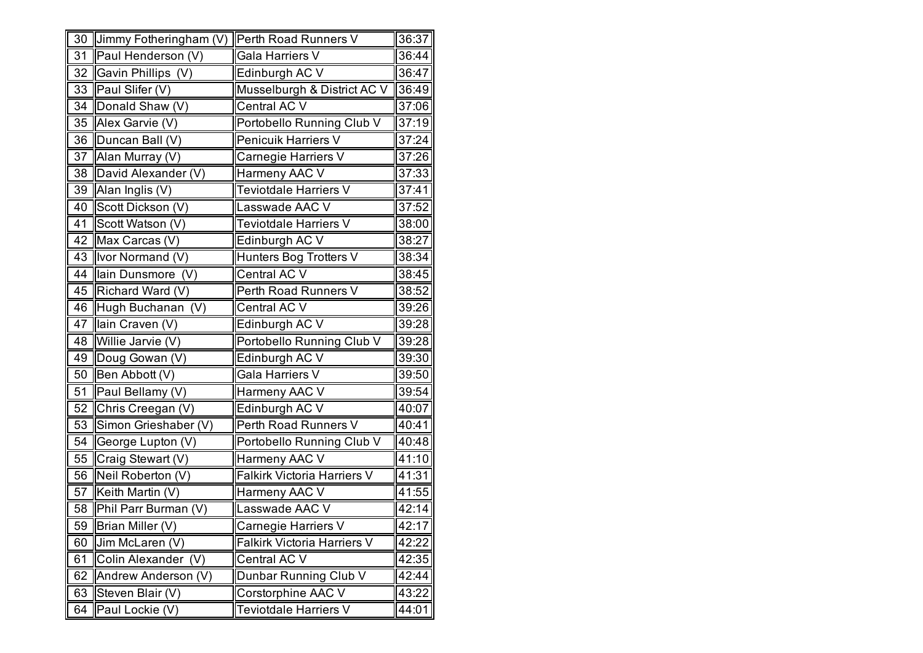|    | 30 Jimmy Fotheringham (V) Perth Road Runners V |                                    | 36:37 |
|----|------------------------------------------------|------------------------------------|-------|
| 31 | Paul Henderson (V)                             | Gala Harriers V                    | 36:44 |
| 32 | Gavin Phillips (V)                             | Edinburgh AC V                     | 36:47 |
|    | 33 Paul Slifer (V)                             | Musselburgh & District AC V        | 36:49 |
| 34 | Donald Shaw (V)                                | Central AC V                       | 37:06 |
| 35 | Alex Garvie (V)                                | Portobello Running Club V          | 37:19 |
| 36 | Duncan Ball (V)                                | Penicuik Harriers V                | 37:24 |
| 37 | Alan Murray (V)                                | Carnegie Harriers V                | 37:26 |
| 38 | David Alexander (V)                            | Harmeny AAC V                      | 37:33 |
| 39 | Alan Inglis (V)                                | Teviotdale Harriers V              | 37:41 |
| 40 | Scott Dickson (V)                              | Lasswade AAC V                     | 37:52 |
| 41 | Scott Watson (V)                               | Teviotdale Harriers V              | 38:00 |
| 42 | Max Carcas (V)                                 | Edinburgh AC V                     | 38:27 |
| 43 | Ivor Normand (V)                               | Hunters Bog Trotters V             | 38:34 |
| 44 | lain Dunsmore (V)                              | Central AC V                       | 38:45 |
| 45 | Richard Ward (V)                               | Perth Road Runners V               | 38:52 |
| 46 | Hugh Buchanan (V)                              | Central AC V                       | 39:26 |
| 47 | lain Craven (V)                                | Edinburgh AC V                     | 39:28 |
| 48 | Willie Jarvie (V)                              | Portobello Running Club V          | 39:28 |
| 49 | Doug Gowan (V)                                 | Edinburgh AC V                     | 39:30 |
| 50 | Ben Abbott (V)                                 | Gala Harriers V                    | 39:50 |
| 51 | Paul Bellamy (V)                               | Harmeny AAC V                      | 39:54 |
| 52 | Chris Creegan (V)                              | Edinburgh AC V                     | 40:07 |
| 53 | Simon Grieshaber (V)                           | Perth Road Runners V               | 40:41 |
| 54 | George Lupton (V)                              | Portobello Running Club V          | 40:48 |
| 55 | Craig Stewart (V)                              | Harmeny AAC V                      | 41:10 |
| 56 | Neil Roberton (V)                              | <b>Falkirk Victoria Harriers V</b> | 41:31 |
| 57 | Keith Martin (V)                               | Harmeny AAC V                      | 41:55 |
| 58 | Phil Parr Burman (V)                           | Lasswade AAC V                     | 42:14 |
| 59 | Brian Miller (V)                               | Carnegie Harriers V                | 42:17 |
| 60 | Jim McLaren (V)                                | <b>Falkirk Victoria Harriers V</b> | 42:22 |
| 61 | Colin Alexander (V)                            | Central AC V                       | 42:35 |
| 62 | Andrew Anderson (V)                            | Dunbar Running Club V              | 42:44 |
| 63 | Steven Blair (V)                               | Corstorphine AAC V                 | 43:22 |
| 64 | Paul Lockie (V)                                | Teviotdale Harriers V              | 44:01 |